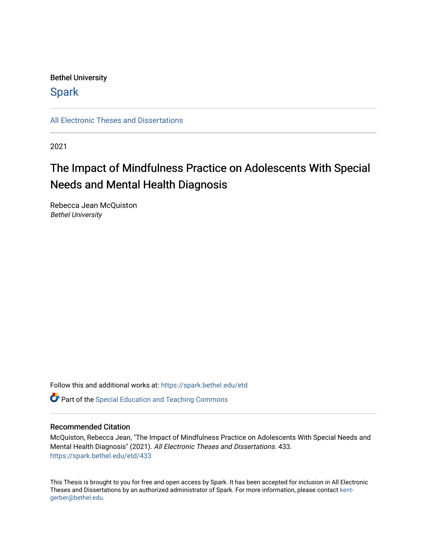# Bethel University

# **Spark**

[All Electronic Theses and Dissertations](https://spark.bethel.edu/etd) 

2021

# The Impact of Mindfulness Practice on Adolescents With Special Needs and Mental Health Diagnosis

Rebecca Jean McQuiston Bethel University

Follow this and additional works at: [https://spark.bethel.edu/etd](https://spark.bethel.edu/etd?utm_source=spark.bethel.edu%2Fetd%2F433&utm_medium=PDF&utm_campaign=PDFCoverPages)

**C** Part of the Special Education and Teaching Commons

## Recommended Citation

McQuiston, Rebecca Jean, "The Impact of Mindfulness Practice on Adolescents With Special Needs and Mental Health Diagnosis" (2021). All Electronic Theses and Dissertations. 433. [https://spark.bethel.edu/etd/433](https://spark.bethel.edu/etd/433?utm_source=spark.bethel.edu%2Fetd%2F433&utm_medium=PDF&utm_campaign=PDFCoverPages)

This Thesis is brought to you for free and open access by Spark. It has been accepted for inclusion in All Electronic Theses and Dissertations by an authorized administrator of Spark. For more information, please contact [kent](mailto:kent-gerber@bethel.edu)[gerber@bethel.edu.](mailto:kent-gerber@bethel.edu)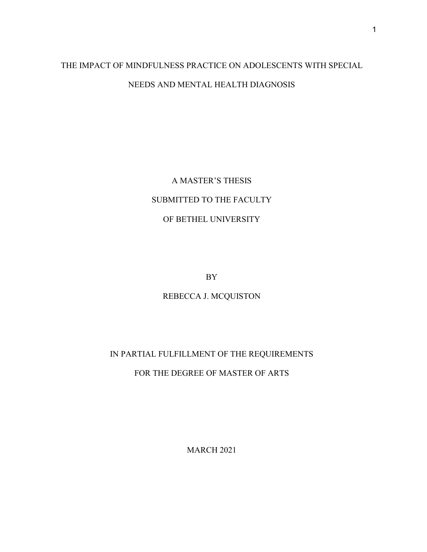# THE IMPACT OF MINDFULNESS PRACTICE ON ADOLESCENTS WITH SPECIAL NEEDS AND MENTAL HEALTH DIAGNOSIS

A MASTER'S THESIS SUBMITTED TO THE FACULTY OF BETHEL UNIVERSITY

BY

REBECCA J. MCQUISTON

IN PARTIAL FULFILLMENT OF THE REQUIREMENTS

FOR THE DEGREE OF MASTER OF ARTS

MARCH 2021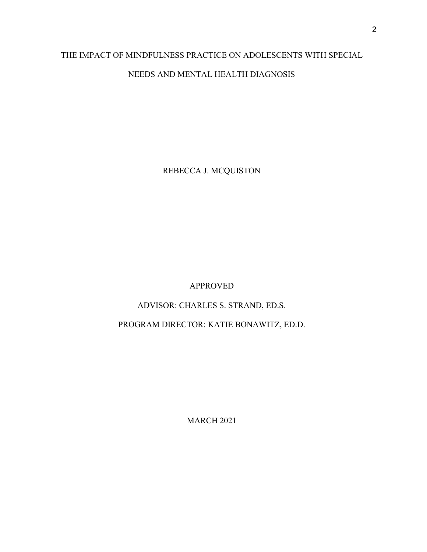# THE IMPACT OF MINDFULNESS PRACTICE ON ADOLESCENTS WITH SPECIAL NEEDS AND MENTAL HEALTH DIAGNOSIS

REBECCA J. MCQUISTON

# APPROVED

# ADVISOR: CHARLES S. STRAND, ED.S.

# PROGRAM DIRECTOR: KATIE BONAWITZ, ED.D.

MARCH 2021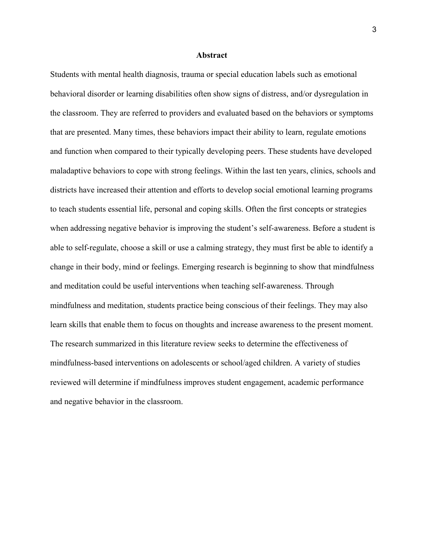#### **Abstract**

Students with mental health diagnosis, trauma or special education labels such as emotional behavioral disorder or learning disabilities often show signs of distress, and/or dysregulation in the classroom. They are referred to providers and evaluated based on the behaviors or symptoms that are presented. Many times, these behaviors impact their ability to learn, regulate emotions and function when compared to their typically developing peers. These students have developed maladaptive behaviors to cope with strong feelings. Within the last ten years, clinics, schools and districts have increased their attention and efforts to develop social emotional learning programs to teach students essential life, personal and coping skills. Often the first concepts or strategies when addressing negative behavior is improving the student's self-awareness. Before a student is able to self-regulate, choose a skill or use a calming strategy, they must first be able to identify a change in their body, mind or feelings. Emerging research is beginning to show that mindfulness and meditation could be useful interventions when teaching self-awareness. Through mindfulness and meditation, students practice being conscious of their feelings. They may also learn skills that enable them to focus on thoughts and increase awareness to the present moment. The research summarized in this literature review seeks to determine the effectiveness of mindfulness-based interventions on adolescents or school/aged children. A variety of studies reviewed will determine if mindfulness improves student engagement, academic performance and negative behavior in the classroom.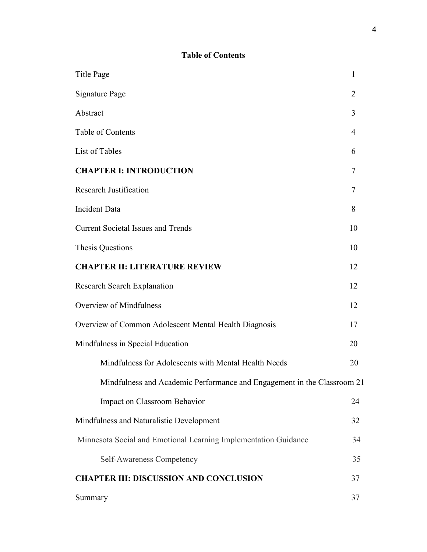# **Table of Contents**

| <b>Title Page</b>                                                       | $\mathbf{1}$   |
|-------------------------------------------------------------------------|----------------|
| <b>Signature Page</b>                                                   | $\overline{2}$ |
| Abstract                                                                | 3              |
| Table of Contents                                                       | $\overline{4}$ |
| List of Tables                                                          | 6              |
| <b>CHAPTER I: INTRODUCTION</b>                                          | 7              |
| <b>Research Justification</b>                                           | 7              |
| <b>Incident Data</b>                                                    | 8              |
| <b>Current Societal Issues and Trends</b>                               | 10             |
| Thesis Questions                                                        | 10             |
| <b>CHAPTER II: LITERATURE REVIEW</b>                                    | 12             |
| <b>Research Search Explanation</b>                                      | 12             |
| Overview of Mindfulness                                                 | 12             |
| Overview of Common Adolescent Mental Health Diagnosis                   | 17             |
| Mindfulness in Special Education                                        | 20             |
| Mindfulness for Adolescents with Mental Health Needs                    | 20             |
| Mindfulness and Academic Performance and Engagement in the Classroom 21 |                |
| Impact on Classroom Behavior                                            | 24             |
| Mindfulness and Naturalistic Development                                | 32             |
| Minnesota Social and Emotional Learning Implementation Guidance         | 34             |
| Self-Awareness Competency                                               | 35             |
| <b>CHAPTER III: DISCUSSION AND CONCLUSION</b>                           | 37             |
| Summary                                                                 | 37             |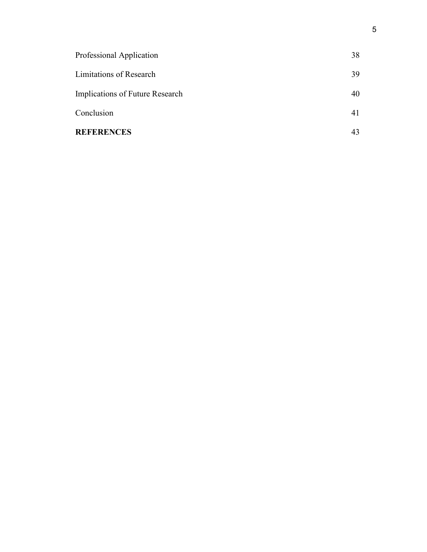| <b>REFERENCES</b>               | 43 |
|---------------------------------|----|
| Conclusion                      | 41 |
| Implications of Future Research | 40 |
| Limitations of Research         | 39 |
| Professional Application        | 38 |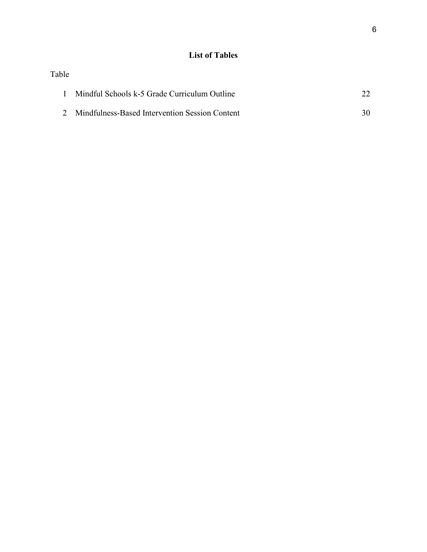# **List of Tables**

| Table |                                                  |    |
|-------|--------------------------------------------------|----|
|       | Mindful Schools k-5 Grade Curriculum Outline     |    |
|       | 2 Mindfulness-Based Intervention Session Content | 30 |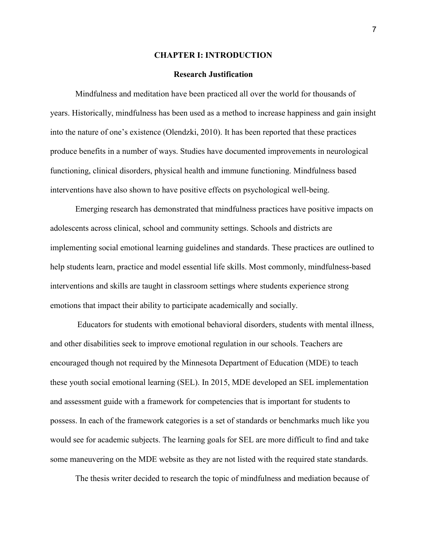#### **CHAPTER I: INTRODUCTION**

#### **Research Justification**

Mindfulness and meditation have been practiced all over the world for thousands of years. Historically, mindfulness has been used as a method to increase happiness and gain insight into the nature of one's existence (Olendzki, 2010). It has been reported that these practices produce benefits in a number of ways. Studies have documented improvements in neurological functioning, clinical disorders, physical health and immune functioning. Mindfulness based interventions have also shown to have positive effects on psychological well-being.

 Emerging research has demonstrated that mindfulness practices have positive impacts on adolescents across clinical, school and community settings. Schools and districts are implementing social emotional learning guidelines and standards. These practices are outlined to help students learn, practice and model essential life skills. Most commonly, mindfulness-based interventions and skills are taught in classroom settings where students experience strong emotions that impact their ability to participate academically and socially.

 Educators for students with emotional behavioral disorders, students with mental illness, and other disabilities seek to improve emotional regulation in our schools. Teachers are encouraged though not required by the Minnesota Department of Education (MDE) to teach these youth social emotional learning (SEL). In 2015, MDE developed an SEL implementation and assessment guide with a framework for competencies that is important for students to possess. In each of the framework categories is a set of standards or benchmarks much like you would see for academic subjects. The learning goals for SEL are more difficult to find and take some maneuvering on the MDE website as they are not listed with the required state standards.

The thesis writer decided to research the topic of mindfulness and mediation because of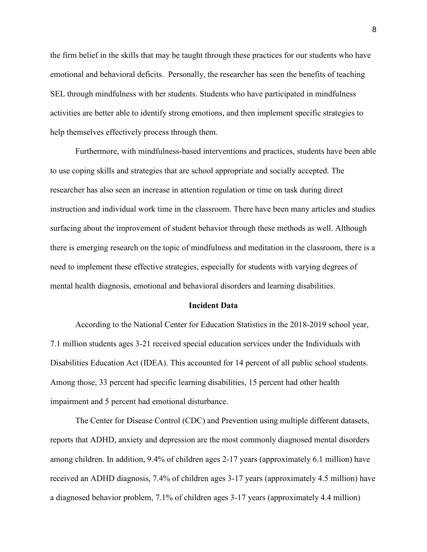the firm belief in the skills that may be taught through these practices for our students who have emotional and behavioral deficits. Personally, the researcher has seen the benefits of teaching SEL through mindfulness with her students. Students who have participated in mindfulness activities are better able to identify strong emotions, and then implement specific strategies to help themselves effectively process through them.

Furthermore, with mindfulness-based interventions and practices, students have been able to use coping skills and strategies that are school appropriate and socially accepted. The researcher has also seen an increase in attention regulation or time on task during direct instruction and individual work time in the classroom. There have been many articles and studies surfacing about the improvement of student behavior through these methods as well. Although there is emerging research on the topic of mindfulness and meditation in the classroom, there is a need to implement these effective strategies, especially for students with varying degrees of mental health diagnosis, emotional and behavioral disorders and learning disabilities.

#### **Incident Data**

According to the National Center for Education Statistics in the 2018-2019 school year, 7.1 million students ages 3-21 received special education services under the Individuals with Disabilities Education Act (IDEA). This accounted for 14 percent of all public school students. Among those, 33 percent had specific learning disabilities, 15 percent had other health impairment and 5 percent had emotional disturbance.

The Center for Disease Control (CDC) and Prevention using multiple different datasets, reports that ADHD, anxiety and depression are the most commonly diagnosed mental disorders among children. In addition, 9.4% of children ages 2-17 years (approximately 6.1 million) have received an ADHD diagnosis, 7.4% of children ages 3-17 years (approximately 4.5 million) have a diagnosed behavior problem, 7.1% of children ages 3-17 years (approximately 4.4 million)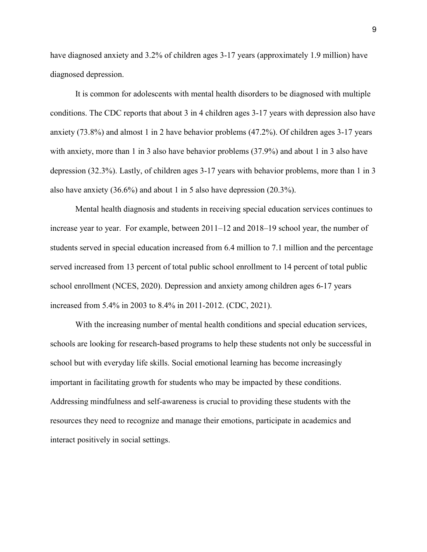have diagnosed anxiety and 3.2% of children ages 3-17 years (approximately 1.9 million) have diagnosed depression[.](https://www.cdc.gov/childrensmentalhealth/data.html#ref)

It is common for adolescents with mental health disorders to be diagnosed with multiple conditions. The CDC reports that about 3 in 4 children ages 3-17 years with depression also have anxiety (73.8%) and almost 1 in 2 have behavior problems (47.2%). Of children ages 3-17 years with anxiety, more than 1 in 3 also have behavior problems (37.9%) and about 1 in 3 also have depression (32.3%). Lastly, of children ages 3-17 years with behavior problems, more than 1 in 3 also have anxiety (36.6%) and about 1 in 5 also have depression (20.3%).

Mental health diagnosis and students in receiving special education services continues to increase year to year. For example, between 2011–12 and 2018–19 school year, the number of students served in special education increased from 6.4 million to 7.1 million and the percentage served increased from 13 percent of total public school enrollment to 14 percent of total public school enrollment (NCES, 2020). Depression and anxiety among children ages 6-17 years increased from 5.4% in 2003 to 8.4% in 2011-2012. (CDC, 2021).

With the increasing number of mental health conditions and special education services, schools are looking for research-based programs to help these students not only be successful in school but with everyday life skills. Social emotional learning has become increasingly important in facilitating growth for students who may be impacted by these conditions. Addressing mindfulness and self-awareness is crucial to providing these students with the resources they need to recognize and manage their emotions, participate in academics and interact positively in social settings.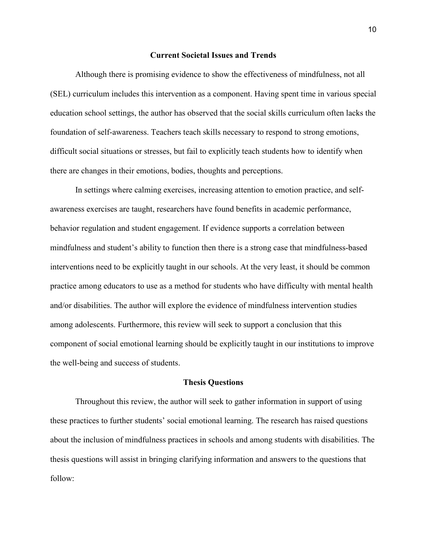#### **Current Societal Issues and Trends**

Although there is promising evidence to show the effectiveness of mindfulness, not all (SEL) curriculum includes this intervention as a component. Having spent time in various special education school settings, the author has observed that the social skills curriculum often lacks the foundation of self-awareness. Teachers teach skills necessary to respond to strong emotions, difficult social situations or stresses, but fail to explicitly teach students how to identify when there are changes in their emotions, bodies, thoughts and perceptions.

In settings where calming exercises, increasing attention to emotion practice, and selfawareness exercises are taught, researchers have found benefits in academic performance, behavior regulation and student engagement. If evidence supports a correlation between mindfulness and student's ability to function then there is a strong case that mindfulness-based interventions need to be explicitly taught in our schools. At the very least, it should be common practice among educators to use as a method for students who have difficulty with mental health and/or disabilities. The author will explore the evidence of mindfulness intervention studies among adolescents. Furthermore, this review will seek to support a conclusion that this component of social emotional learning should be explicitly taught in our institutions to improve the well-being and success of students.

### **Thesis Questions**

Throughout this review, the author will seek to gather information in support of using these practices to further students' social emotional learning. The research has raised questions about the inclusion of mindfulness practices in schools and among students with disabilities. The thesis questions will assist in bringing clarifying information and answers to the questions that follow: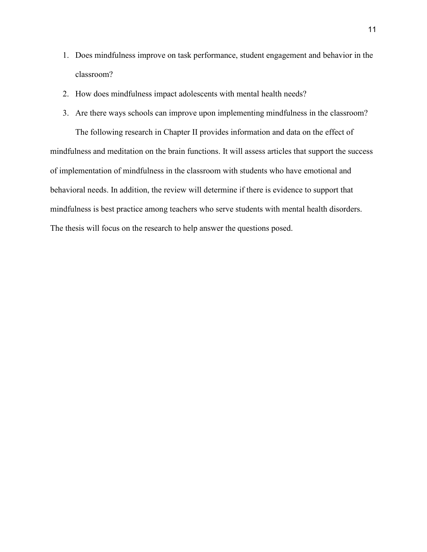- 1. Does mindfulness improve on task performance, student engagement and behavior in the classroom?
- 2. How does mindfulness impact adolescents with mental health needs?
- 3. Are there ways schools can improve upon implementing mindfulness in the classroom? The following research in Chapter II provides information and data on the effect of mindfulness and meditation on the brain functions. It will assess articles that support the success of implementation of mindfulness in the classroom with students who have emotional and behavioral needs. In addition, the review will determine if there is evidence to support that

mindfulness is best practice among teachers who serve students with mental health disorders. The thesis will focus on the research to help answer the questions posed.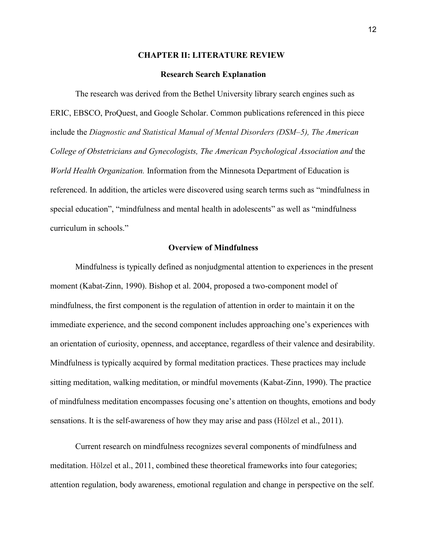#### **CHAPTER II: LITERATURE REVIEW**

#### **Research Search Explanation**

The research was derived from the Bethel University library search engines such as ERIC, EBSCO, ProQuest, and Google Scholar. Common publications referenced in this piece include the *Diagnostic and Statistical Manual of Mental Disorders (DSM–5), The American College of Obstetricians and Gynecologists, The American Psychological Association and* the *World Health Organization.* Information from the Minnesota Department of Education is referenced. In addition, the articles were discovered using search terms such as "mindfulness in special education", "mindfulness and mental health in adolescents" as well as "mindfulness curriculum in schools."

#### **Overview of Mindfulness**

Mindfulness is typically defined as nonjudgmental attention to experiences in the present moment (Kabat-Zinn, 1990). Bishop et al. 2004, proposed a two-component model of mindfulness, the first component is the regulation of attention in order to maintain it on the immediate experience, and the second component includes approaching one's experiences with an orientation of curiosity, openness, and acceptance, regardless of their valence and desirability. Mindfulness is typically acquired by formal meditation practices. These practices may include sitting meditation, walking meditation, or mindful movements (Kabat-Zinn, 1990). The practice of mindfulness meditation encompasses focusing one's attention on thoughts, emotions and body sensations. It is the self-awareness of how they may arise and pass (Hölzel et al., 2011).

Current research on mindfulness recognizes several components of mindfulness and meditation. Hölzel et al., 2011, combined these theoretical frameworks into four categories; attention regulation, body awareness, emotional regulation and change in perspective on the self.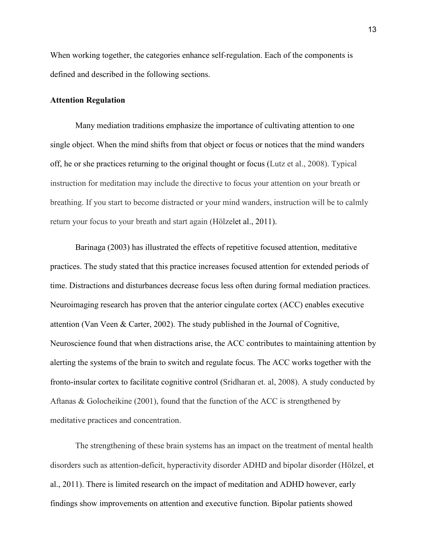When working together, the categories enhance self-regulation. Each of the components is defined and described in the following sections.

## **Attention Regulation**

Many mediation traditions emphasize the importance of cultivating attention to one single object. When the mind shifts from that object or focus or notices that the mind wanders off, he or she practices returning to the original thought or focus (Lutz et al., 2008). Typical instruction for meditation may include the directive to focus your attention on your breath or breathing. If you start to become distracted or your mind wanders, instruction will be to calmly return your focus to your breath and start again (Hölzelet al., 2011).

Barinaga (2003) has illustrated the effects of repetitive focused attention, meditative practices. The study stated that this practice increases focused attention for extended periods of time. Distractions and disturbances decrease focus less often during formal mediation practices. Neuroimaging research has proven that the anterior cingulate cortex (ACC) enables executive attention (Van Veen & Carter, 2002). The study published in the Journal of Cognitive, Neuroscience found that when distractions arise, the ACC contributes to maintaining attention by alerting the systems of the brain to switch and regulate focus. The ACC works together with the fronto-insular cortex to facilitate cognitive control (Sridharan et. al, 2008). A study conducted by Aftanas & Golocheikine  $(2001)$ , found that the function of the ACC is strengthened by meditative practices and concentration.

The strengthening of these brain systems has an impact on the treatment of mental health disorders such as attention-deficit, hyperactivity disorder ADHD and bipolar disorder (Hölzel, et al., 2011). There is limited research on the impact of meditation and ADHD however, early findings show improvements on attention and executive function. Bipolar patients showed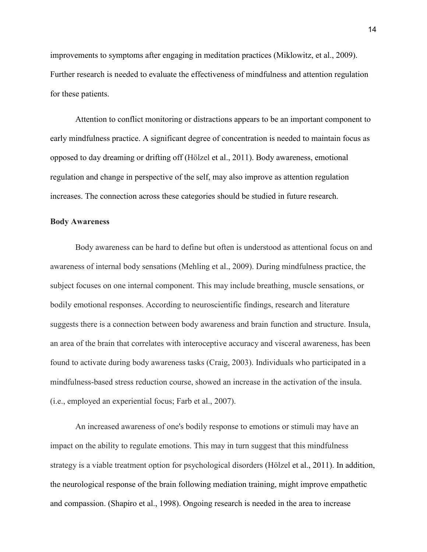improvements to symptoms after engaging in meditation practices (Miklowitz, et al., 2009). Further research is needed to evaluate the effectiveness of mindfulness and attention regulation for these patients.

Attention to conflict monitoring or distractions appears to be an important component to early mindfulness practice. A significant degree of concentration is needed to maintain focus as opposed to day dreaming or drifting off (Hölzel et al., 2011). Body awareness, emotional regulation and change in perspective of the self, may also improve as attention regulation increases. The connection across these categories should be studied in future research.

#### **Body Awareness**

Body awareness can be hard to define but often is understood as attentional focus on and awareness of internal body sensations (Mehling et al., 2009). During mindfulness practice, the subject focuses on one internal component. This may include breathing, muscle sensations, or bodily emotional responses. According to neuroscientific findings, research and literature suggests there is a connection between body awareness and brain function and structure. Insula, an area of the brain that correlates with interoceptive accuracy and visceral awareness, has been found to activate during body awareness tasks (Craig, 2003). Individuals who participated in a mindfulness-based stress reduction course, showed an increase in the activation of the insula. (i.e., employed an experiential focus; Farb et al., 2007).

An increased awareness of one's bodily response to emotions or stimuli may have an impact on the ability to regulate emotions. This may in turn suggest that this mindfulness strategy is a viable treatment option for psychological disorders (Hölzel et al., 2011). In addition, the neurological response of the brain following mediation training, might improve empathetic and compassion. (Shapiro et al., 1998). Ongoing research is needed in the area to increase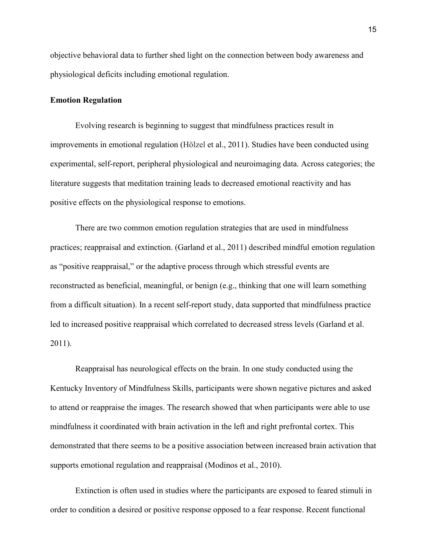objective behavioral data to further shed light on the connection between body awareness and physiological deficits including emotional regulation.

### **Emotion Regulation**

Evolving research is beginning to suggest that mindfulness practices result in improvements in emotional regulation (Hölzel et al., 2011). Studies have been conducted using experimental, self-report, peripheral physiological and neuroimaging data. Across categories; the literature suggests that meditation training leads to decreased emotional reactivity and has positive effects on the physiological response to emotions.

 There are two common emotion regulation strategies that are used in mindfulness practices; reappraisal and extinction. (Garland et al., 2011) described mindful emotion regulation as "positive reappraisal," or the adaptive process through which stressful events are reconstructed as beneficial, meaningful, or benign (e.g., thinking that one will learn something from a difficult situation). In a recent self-report study, data supported that mindfulness practice led to increased positive reappraisal which correlated to decreased stress levels (Garland et al. 2011).

 Reappraisal has neurological effects on the brain. In one study conducted using the Kentucky Inventory of Mindfulness Skills, participants were shown negative pictures and asked to attend or reappraise the images. The research showed that when participants were able to use mindfulness it coordinated with brain activation in the left and right prefrontal cortex. This demonstrated that there seems to be a positive association between increased brain activation that supports emotional regulation and reappraisal (Modinos et al., 2010).

 Extinction is often used in studies where the participants are exposed to feared stimuli in order to condition a desired or positive response opposed to a fear response. Recent functional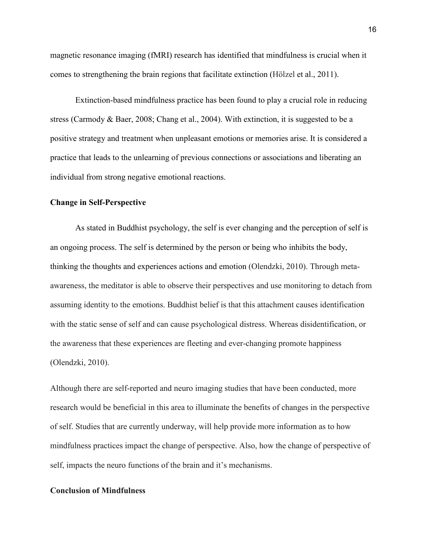magnetic resonance imaging (fMRI) research has identified that mindfulness is crucial when it comes to strengthening the brain regions that facilitate extinction (Hölzel et al., 2011).

 Extinction-based mindfulness practice has been found to play a crucial role in reducing stress (Carmody & Baer, 2008; Chang et al., 2004). With extinction, it is suggested to be a positive strategy and treatment when unpleasant emotions or memories arise. It is considered a practice that leads to the unlearning of previous connections or associations and liberating an individual from strong negative emotional reactions.

#### **Change in Self-Perspective**

As stated in Buddhist psychology, the self is ever changing and the perception of self is an ongoing process. The self is determined by the person or being who inhibits the body, thinking the thoughts and experiences actions and emotion (Olendzki, 2010). Through metaawareness, the meditator is able to observe their perspectives and use monitoring to detach from assuming identity to the emotions. Buddhist belief is that this attachment causes identification with the static sense of self and can cause psychological distress. Whereas disidentification, or the awareness that these experiences are fleeting and ever-changing promote happiness (Olendzki, 2010).

Although there are self-reported and neuro imaging studies that have been conducted, more research would be beneficial in this area to illuminate the benefits of changes in the perspective of self. Studies that are currently underway, will help provide more information as to how mindfulness practices impact the change of perspective. Also, how the change of perspective of self, impacts the neuro functions of the brain and it's mechanisms.

## **Conclusion of Mindfulness**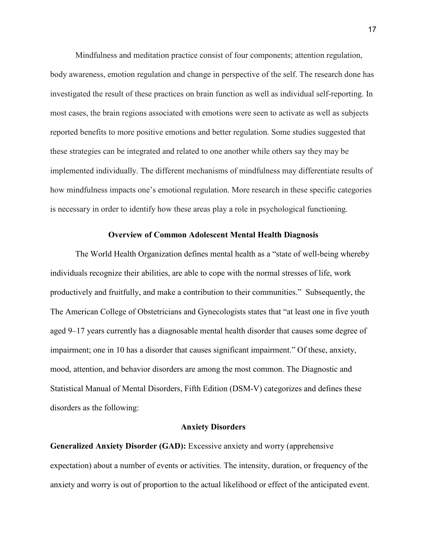Mindfulness and meditation practice consist of four components; attention regulation, body awareness, emotion regulation and change in perspective of the self. The research done has investigated the result of these practices on brain function as well as individual self-reporting. In most cases, the brain regions associated with emotions were seen to activate as well as subjects reported benefits to more positive emotions and better regulation. Some studies suggested that these strategies can be integrated and related to one another while others say they may be implemented individually. The different mechanisms of mindfulness may differentiate results of how mindfulness impacts one's emotional regulation. More research in these specific categories is necessary in order to identify how these areas play a role in psychological functioning.

#### **Overview of Common Adolescent Mental Health Diagnosis**

The World Health Organization defines mental health as a "state of well-being whereby individuals recognize their abilities, are able to cope with the normal stresses of life, work productively and fruitfully, and make a contribution to their communities." Subsequently, the The American College of Obstetricians and Gynecologists states that "at least one in five youth aged 9–17 years currently has a diagnosable mental health disorder that causes some degree of impairment; one in 10 has a disorder that causes significant impairment." Of these, anxiety, mood, attention, and behavior disorders are among the most common. The Diagnostic and Statistical Manual of Mental Disorders, Fifth Edition (DSM-V) categorizes and defines these disorders as the following:

## **Anxiety Disorders**

**Generalized Anxiety Disorder (GAD):** Excessive anxiety and worry (apprehensive expectation) about a number of events or activities. The intensity, duration, or frequency of the anxiety and worry is out of proportion to the actual likelihood or effect of the anticipated event.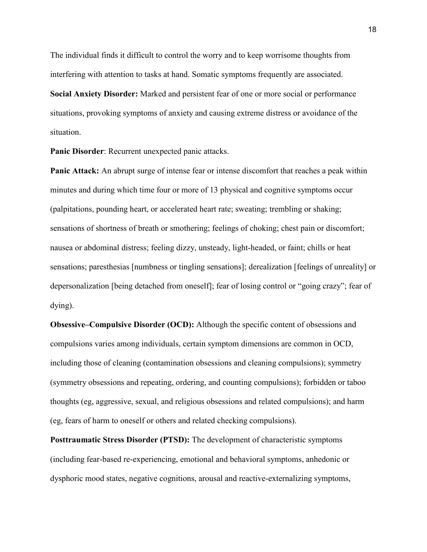The individual finds it difficult to control the worry and to keep worrisome thoughts from interfering with attention to tasks at hand. Somatic symptoms frequently are associated.

**Social Anxiety Disorder:** Marked and persistent fear of one or more social or performance situations, provoking symptoms of anxiety and causing extreme distress or avoidance of the situation.

**Panic Disorder**: Recurrent unexpected panic attacks.

**Panic Attack:** An abrupt surge of intense fear or intense discomfort that reaches a peak within minutes and during which time four or more of 13 physical and cognitive symptoms occur (palpitations, pounding heart, or accelerated heart rate; sweating; trembling or shaking; sensations of shortness of breath or smothering; feelings of choking; chest pain or discomfort; nausea or abdominal distress; feeling dizzy, unsteady, light-headed, or faint; chills or heat sensations; paresthesias [numbness or tingling sensations]; derealization [feelings of unreality] or depersonalization [being detached from oneself]; fear of losing control or "going crazy"; fear of dying).

**Obsessive–Compulsive Disorder (OCD):** Although the specific content of obsessions and compulsions varies among individuals, certain symptom dimensions are common in OCD, including those of cleaning (contamination obsessions and cleaning compulsions); symmetry (symmetry obsessions and repeating, ordering, and counting compulsions); forbidden or taboo thoughts (eg, aggressive, sexual, and religious obsessions and related compulsions); and harm (eg, fears of harm to oneself or others and related checking compulsions).

**Posttraumatic Stress Disorder (PTSD):** The development of characteristic symptoms (including fear-based re-experiencing, emotional and behavioral symptoms, anhedonic or dysphoric mood states, negative cognitions, arousal and reactive-externalizing symptoms,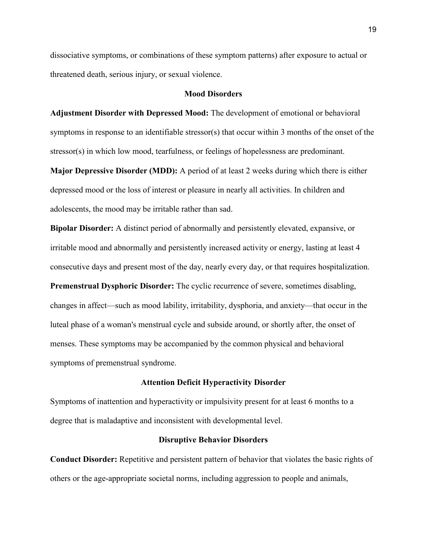dissociative symptoms, or combinations of these symptom patterns) after exposure to actual or threatened death, serious injury, or sexual violence.

#### **Mood Disorders**

**Adjustment Disorder with Depressed Mood:** The development of emotional or behavioral symptoms in response to an identifiable stressor(s) that occur within 3 months of the onset of the stressor(s) in which low mood, tearfulness, or feelings of hopelessness are predominant.

**Major Depressive Disorder (MDD):** A period of at least 2 weeks during which there is either depressed mood or the loss of interest or pleasure in nearly all activities. In children and adolescents, the mood may be irritable rather than sad.

**Bipolar Disorder:** A distinct period of abnormally and persistently elevated, expansive, or irritable mood and abnormally and persistently increased activity or energy, lasting at least 4 consecutive days and present most of the day, nearly every day, or that requires hospitalization. **Premenstrual Dysphoric Disorder:** The cyclic recurrence of severe, sometimes disabling, changes in affect—such as mood lability, irritability, dysphoria, and anxiety—that occur in the luteal phase of a woman's menstrual cycle and subside around, or shortly after, the onset of menses. These symptoms may be accompanied by the common physical and behavioral symptoms of premenstrual syndrome.

#### **Attention Deficit Hyperactivity Disorder**

Symptoms of inattention and hyperactivity or impulsivity present for at least 6 months to a degree that is maladaptive and inconsistent with developmental level.

#### **Disruptive Behavior Disorders**

**Conduct Disorder:** Repetitive and persistent pattern of behavior that violates the basic rights of others or the age-appropriate societal norms, including aggression to people and animals,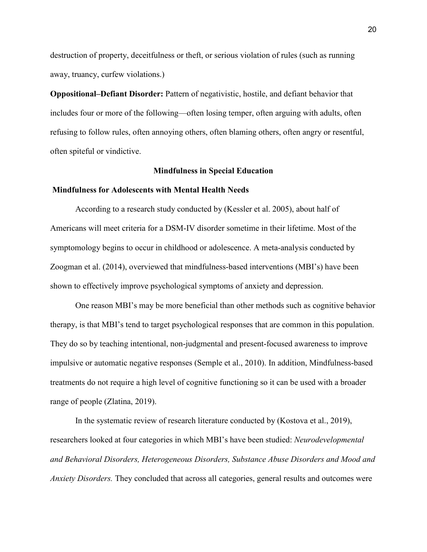destruction of property, deceitfulness or theft, or serious violation of rules (such as running away, truancy, curfew violations.)

**Oppositional–Defiant Disorder:** Pattern of negativistic, hostile, and defiant behavior that includes four or more of the following—often losing temper, often arguing with adults, often refusing to follow rules, often annoying others, often blaming others, often angry or resentful, often spiteful or vindictive.

### **Mindfulness in Special Education**

#### **Mindfulness for Adolescents with Mental Health Needs**

According to a research study conducted by (Kessler et al. 2005), about half of Americans will meet criteria for a DSM-IV disorder sometime in their lifetime. Most of the symptomology begins to occur in childhood or adolescence. A meta-analysis conducted by Zoogman et al. (2014), overviewed that mindfulness-based interventions (MBI's) have been shown to effectively improve psychological symptoms of anxiety and depression.

One reason MBI's may be more beneficial than other methods such as cognitive behavior therapy, is that MBI's tend to target psychological responses that are common in this population. They do so by teaching intentional, non-judgmental and present-focused awareness to improve impulsive or automatic negative responses (Semple et al., 2010). In addition, Mindfulness-based treatments do not require a high level of cognitive functioning so it can be used with a broader range of people (Zlatina, 2019).

In the systematic review of research literature conducted by (Kostova et al., 2019), researchers looked at four categories in which MBI's have been studied: *Neurodevelopmental and Behavioral Disorders, Heterogeneous Disorders, Substance Abuse Disorders and Mood and Anxiety Disorders.* They concluded that across all categories, general results and outcomes were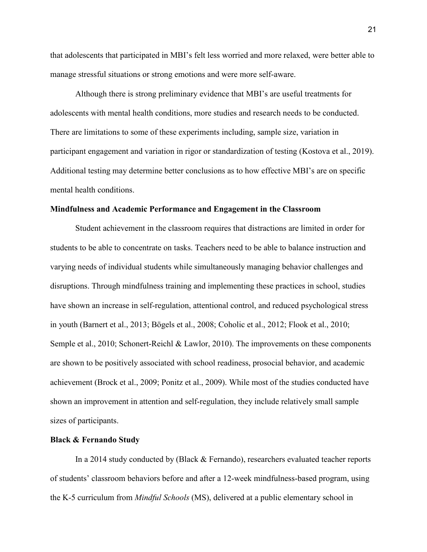that adolescents that participated in MBI's felt less worried and more relaxed, were better able to manage stressful situations or strong emotions and were more self-aware.

Although there is strong preliminary evidence that MBI's are useful treatments for adolescents with mental health conditions, more studies and research needs to be conducted. There are limitations to some of these experiments including, sample size, variation in participant engagement and variation in rigor or standardization of testing (Kostova et al., 2019). Additional testing may determine better conclusions as to how effective MBI's are on specific mental health conditions.

#### **Mindfulness and Academic Performance and Engagement in the Classroom**

Student achievement in the classroom requires that distractions are limited in order for students to be able to concentrate on tasks. Teachers need to be able to balance instruction and varying needs of individual students while simultaneously managing behavior challenges and disruptions. Through mindfulness training and implementing these practices in school, studies have shown an increase in self-regulation, attentional control, and reduced psychological stress in youth (Barnert et al., 2013; Bögels et al., 2008; Coholic et al., 2012; Flook et al., 2010; Semple et al., 2010; Schonert-Reichl & Lawlor, 2010). The improvements on these components are shown to be positively associated with school readiness, prosocial behavior, and academic achievement (Brock et al., 2009; Ponitz et al., 2009). While most of the studies conducted have shown an improvement in attention and self-regulation, they include relatively small sample sizes of participants.

#### **Black & Fernando Study**

In a 2014 study conducted by (Black & Fernando), researchers evaluated teacher reports of students' classroom behaviors before and after a 12-week mindfulness-based program, using the K-5 curriculum from *Mindful Schools* (MS), delivered at a public elementary school in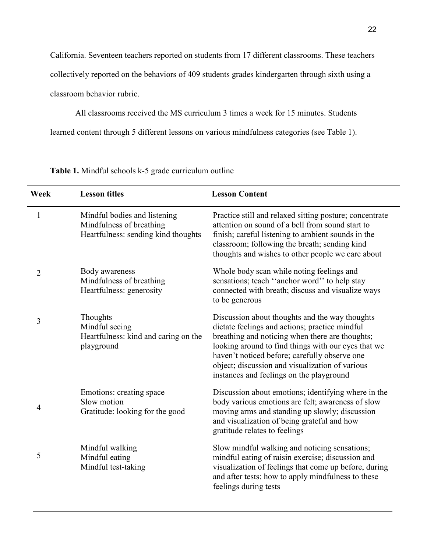California. Seventeen teachers reported on students from 17 different classrooms. These teachers collectively reported on the behaviors of 409 students grades kindergarten through sixth using a classroom behavior rubric.

All classrooms received the MS curriculum 3 times a week for 15 minutes. Students

learned content through 5 different lessons on various mindfulness categories (see Table 1).

| Week | <b>Lesson titles</b>                                                                            | <b>Lesson Content</b>                                                                                                                                                                                                                                                                                                                                      |
|------|-------------------------------------------------------------------------------------------------|------------------------------------------------------------------------------------------------------------------------------------------------------------------------------------------------------------------------------------------------------------------------------------------------------------------------------------------------------------|
| 1    | Mindful bodies and listening<br>Mindfulness of breathing<br>Heartfulness: sending kind thoughts | Practice still and relaxed sitting posture; concentrate<br>attention on sound of a bell from sound start to<br>finish; careful listening to ambient sounds in the<br>classroom; following the breath; sending kind<br>thoughts and wishes to other people we care about                                                                                    |
| 2    | Body awareness<br>Mindfulness of breathing<br>Heartfulness: generosity                          | Whole body scan while noting feelings and<br>sensations; teach "anchor word" to help stay<br>connected with breath; discuss and visualize ways<br>to be generous                                                                                                                                                                                           |
| 3    | Thoughts<br>Mindful seeing<br>Heartfulness: kind and caring on the<br>playground                | Discussion about thoughts and the way thoughts<br>dictate feelings and actions; practice mindful<br>breathing and noticing when there are thoughts;<br>looking around to find things with our eyes that we<br>haven't noticed before; carefully observe one<br>object; discussion and visualization of various<br>instances and feelings on the playground |
| 4    | Emotions: creating space<br>Slow motion<br>Gratitude: looking for the good                      | Discussion about emotions; identifying where in the<br>body various emotions are felt; awareness of slow<br>moving arms and standing up slowly; discussion<br>and visualization of being grateful and how<br>gratitude relates to feelings                                                                                                                 |
| 5    | Mindful walking<br>Mindful eating<br>Mindful test-taking                                        | Slow mindful walking and noticing sensations;<br>mindful eating of raisin exercise; discussion and<br>visualization of feelings that come up before, during<br>and after tests: how to apply mindfulness to these<br>feelings during tests                                                                                                                 |

**Table 1.** Mindful schools k-5 grade curriculum outline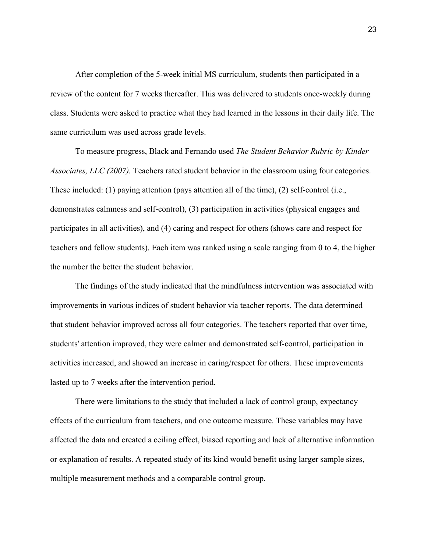After completion of the 5-week initial MS curriculum, students then participated in a review of the content for 7 weeks thereafter. This was delivered to students once-weekly during class. Students were asked to practice what they had learned in the lessons in their daily life. The same curriculum was used across grade levels.

 To measure progress, Black and Fernando used *The Student Behavior Rubric by Kinder Associates, LLC (2007).* Teachers rated student behavior in the classroom using four categories. These included: (1) paying attention (pays attention all of the time), (2) self-control (i.e., demonstrates calmness and self-control), (3) participation in activities (physical engages and participates in all activities), and (4) caring and respect for others (shows care and respect for teachers and fellow students). Each item was ranked using a scale ranging from 0 to 4, the higher the number the better the student behavior.

The findings of the study indicated that the mindfulness intervention was associated with improvements in various indices of student behavior via teacher reports. The data determined that student behavior improved across all four categories. The teachers reported that over time, students' attention improved, they were calmer and demonstrated self-control, participation in activities increased, and showed an increase in caring/respect for others. These improvements lasted up to 7 weeks after the intervention period.

There were limitations to the study that included a lack of control group, expectancy effects of the curriculum from teachers, and one outcome measure. These variables may have affected the data and created a ceiling effect, biased reporting and lack of alternative information or explanation of results. A repeated study of its kind would benefit using larger sample sizes, multiple measurement methods and a comparable control group.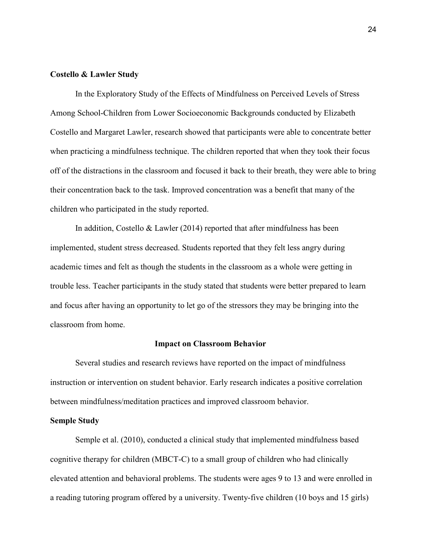#### **Costello & Lawler Study**

In the Exploratory Study of the Effects of Mindfulness on Perceived Levels of Stress Among School-Children from Lower Socioeconomic Backgrounds conducted by Elizabeth Costello and Margaret Lawler, research showed that participants were able to concentrate better when practicing a mindfulness technique. The children reported that when they took their focus off of the distractions in the classroom and focused it back to their breath, they were able to bring their concentration back to the task. Improved concentration was a benefit that many of the children who participated in the study reported.

In addition, Costello & Lawler (2014) reported that after mindfulness has been implemented, student stress decreased. Students reported that they felt less angry during academic times and felt as though the students in the classroom as a whole were getting in trouble less. Teacher participants in the study stated that students were better prepared to learn and focus after having an opportunity to let go of the stressors they may be bringing into the classroom from home.

#### **Impact on Classroom Behavior**

Several studies and research reviews have reported on the impact of mindfulness instruction or intervention on student behavior. Early research indicates a positive correlation between mindfulness/meditation practices and improved classroom behavior.

### **Semple Study**

Semple et al. (2010), conducted a clinical study that implemented mindfulness based cognitive therapy for children (MBCT-C) to a small group of children who had clinically elevated attention and behavioral problems. The students were ages 9 to 13 and were enrolled in a reading tutoring program offered by a university. Twenty-five children (10 boys and 15 girls)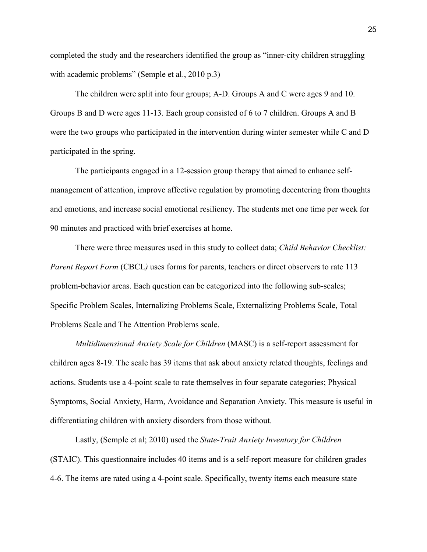completed the study and the researchers identified the group as "inner-city children struggling with academic problems" (Semple et al., 2010 p.3)

The children were split into four groups; A-D. Groups A and C were ages 9 and 10. Groups B and D were ages 11-13. Each group consisted of 6 to 7 children. Groups A and B were the two groups who participated in the intervention during winter semester while C and D participated in the spring.

The participants engaged in a 12-session group therapy that aimed to enhance selfmanagement of attention, improve affective regulation by promoting decentering from thoughts and emotions, and increase social emotional resiliency. The students met one time per week for 90 minutes and practiced with brief exercises at home.

There were three measures used in this study to collect data; *Child Behavior Checklist: Parent Report Form* (CBCL) uses forms for parents, teachers or direct observers to rate 113 problem-behavior areas. Each question can be categorized into the following sub-scales; Specific Problem Scales, Internalizing Problems Scale, Externalizing Problems Scale, Total Problems Scale and The Attention Problems scale.

*Multidimensional Anxiety Scale for Children* (MASC) is a self-report assessment for children ages 8-19. The scale has 39 items that ask about anxiety related thoughts, feelings and actions. Students use a 4-point scale to rate themselves in four separate categories; Physical Symptoms, Social Anxiety, Harm, Avoidance and Separation Anxiety. This measure is useful in differentiating children with anxiety disorders from those without.

Lastly, (Semple et al; 2010) used the *State-Trait Anxiety Inventory for Children* (STAIC). This questionnaire includes 40 items and is a self-report measure for children grades 4-6. The items are rated using a 4-point scale. Specifically, twenty items each measure state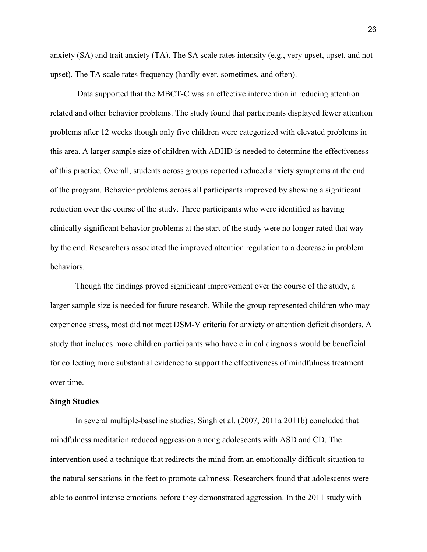anxiety (SA) and trait anxiety (TA). The SA scale rates intensity (e.g., very upset, upset, and not upset). The TA scale rates frequency (hardly-ever, sometimes, and often).

 Data supported that the MBCT-C was an effective intervention in reducing attention related and other behavior problems. The study found that participants displayed fewer attention problems after 12 weeks though only five children were categorized with elevated problems in this area. A larger sample size of children with ADHD is needed to determine the effectiveness of this practice. Overall, students across groups reported reduced anxiety symptoms at the end of the program. Behavior problems across all participants improved by showing a significant reduction over the course of the study. Three participants who were identified as having clinically significant behavior problems at the start of the study were no longer rated that way by the end. Researchers associated the improved attention regulation to a decrease in problem behaviors.

Though the findings proved significant improvement over the course of the study, a larger sample size is needed for future research. While the group represented children who may experience stress, most did not meet DSM-V criteria for anxiety or attention deficit disorders. A study that includes more children participants who have clinical diagnosis would be beneficial for collecting more substantial evidence to support the effectiveness of mindfulness treatment over time.

#### **Singh Studies**

In several multiple-baseline studies, Singh et al. (2007, 2011a 2011b) concluded that mindfulness meditation reduced aggression among adolescents with ASD and CD. The intervention used a technique that redirects the mind from an emotionally difficult situation to the natural sensations in the feet to promote calmness. Researchers found that adolescents were able to control intense emotions before they demonstrated aggression. In the 2011 study with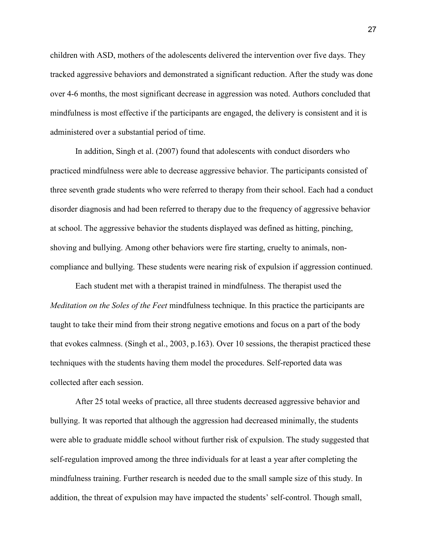children with ASD, mothers of the adolescents delivered the intervention over five days. They tracked aggressive behaviors and demonstrated a significant reduction. After the study was done over 4-6 months, the most significant decrease in aggression was noted. Authors concluded that mindfulness is most effective if the participants are engaged, the delivery is consistent and it is administered over a substantial period of time.

In addition, Singh et al. (2007) found that adolescents with conduct disorders who practiced mindfulness were able to decrease aggressive behavior. The participants consisted of three seventh grade students who were referred to therapy from their school. Each had a conduct disorder diagnosis and had been referred to therapy due to the frequency of aggressive behavior at school. The aggressive behavior the students displayed was defined as hitting, pinching, shoving and bullying. Among other behaviors were fire starting, cruelty to animals, noncompliance and bullying. These students were nearing risk of expulsion if aggression continued.

 Each student met with a therapist trained in mindfulness. The therapist used the *Meditation on the Soles of the Feet* mindfulness technique. In this practice the participants are taught to take their mind from their strong negative emotions and focus on a part of the body that evokes calmness. (Singh et al., 2003, p.163). Over 10 sessions, the therapist practiced these techniques with the students having them model the procedures. Self-reported data was collected after each session.

After 25 total weeks of practice, all three students decreased aggressive behavior and bullying. It was reported that although the aggression had decreased minimally, the students were able to graduate middle school without further risk of expulsion. The study suggested that self-regulation improved among the three individuals for at least a year after completing the mindfulness training. Further research is needed due to the small sample size of this study. In addition, the threat of expulsion may have impacted the students' self-control. Though small,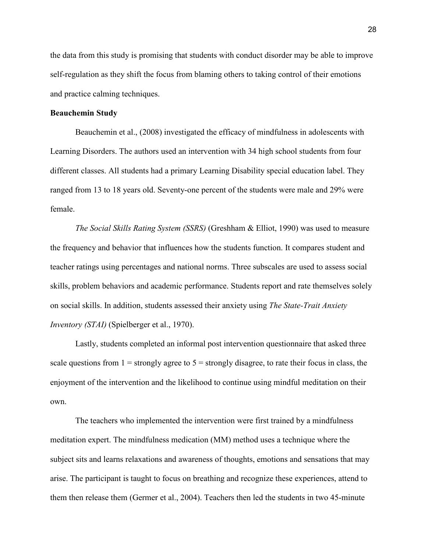the data from this study is promising that students with conduct disorder may be able to improve self-regulation as they shift the focus from blaming others to taking control of their emotions and practice calming techniques.

### **Beauchemin Study**

Beauchemin et al., (2008) investigated the efficacy of mindfulness in adolescents with Learning Disorders. The authors used an intervention with 34 high school students from four different classes. All students had a primary Learning Disability special education label. They ranged from 13 to 18 years old. Seventy-one percent of the students were male and 29% were female.

*The Social Skills Rating System (SSRS)* (Greshham & Elliot, 1990) was used to measure the frequency and behavior that influences how the students function. It compares student and teacher ratings using percentages and national norms. Three subscales are used to assess social skills, problem behaviors and academic performance. Students report and rate themselves solely on social skills. In addition, students assessed their anxiety using *The State-Trait Anxiety Inventory (STAI)* (Spielberger et al., 1970).

Lastly, students completed an informal post intervention questionnaire that asked three scale questions from  $1 =$  strongly agree to  $5 =$  strongly disagree, to rate their focus in class, the enjoyment of the intervention and the likelihood to continue using mindful meditation on their own.

The teachers who implemented the intervention were first trained by a mindfulness meditation expert. The mindfulness medication (MM) method uses a technique where the subject sits and learns relaxations and awareness of thoughts, emotions and sensations that may arise. The participant is taught to focus on breathing and recognize these experiences, attend to them then release them (Germer et al., 2004). Teachers then led the students in two 45-minute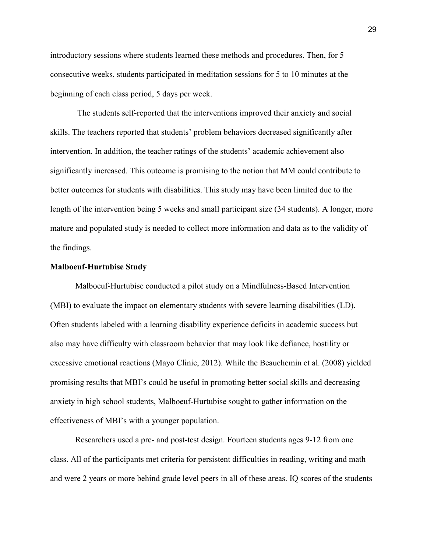introductory sessions where students learned these methods and procedures. Then, for 5 consecutive weeks, students participated in meditation sessions for 5 to 10 minutes at the beginning of each class period, 5 days per week.

 The students self-reported that the interventions improved their anxiety and social skills. The teachers reported that students' problem behaviors decreased significantly after intervention. In addition, the teacher ratings of the students' academic achievement also significantly increased. This outcome is promising to the notion that MM could contribute to better outcomes for students with disabilities. This study may have been limited due to the length of the intervention being 5 weeks and small participant size (34 students). A longer, more mature and populated study is needed to collect more information and data as to the validity of the findings.

#### **Malboeuf-Hurtubise Study**

Malboeuf-Hurtubise conducted a pilot study on a Mindfulness-Based Intervention (MBI) to evaluate the impact on elementary students with severe learning disabilities (LD). Often students labeled with a learning disability experience deficits in academic success but also may have difficulty with classroom behavior that may look like defiance, hostility or excessive emotional reactions (Mayo Clinic, 2012). While the Beauchemin et al. (2008) yielded promising results that MBI's could be useful in promoting better social skills and decreasing anxiety in high school students, Malboeuf-Hurtubise sought to gather information on the effectiveness of MBI's with a younger population.

Researchers used a pre- and post-test design. Fourteen students ages 9-12 from one class. All of the participants met criteria for persistent difficulties in reading, writing and math and were 2 years or more behind grade level peers in all of these areas. IQ scores of the students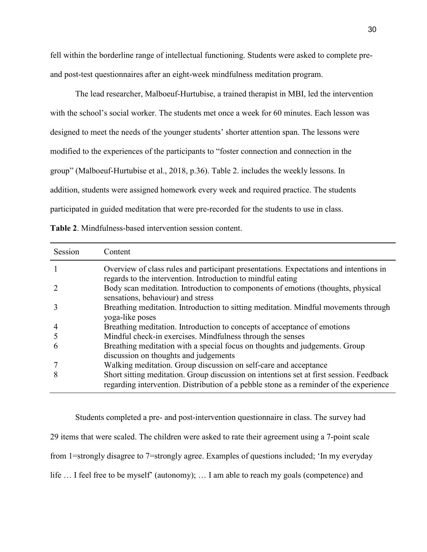fell within the borderline range of intellectual functioning. Students were asked to complete preand post-test questionnaires after an eight-week mindfulness meditation program.

The lead researcher, Malboeuf-Hurtubise, a trained therapist in MBI, led the intervention with the school's social worker. The students met once a week for 60 minutes. Each lesson was designed to meet the needs of the younger students' shorter attention span. The lessons were modified to the experiences of the participants to "foster connection and connection in the group" (Malboeuf-Hurtubise et al., 2018, p.36). Table 2. includes the weekly lessons. In addition, students were assigned homework every week and required practice. The students participated in guided meditation that were pre-recorded for the students to use in class.

**Table 2**. Mindfulness-based intervention session content.

| Session | Content                                                                                                                                                                           |
|---------|-----------------------------------------------------------------------------------------------------------------------------------------------------------------------------------|
|         | Overview of class rules and participant presentations. Expectations and intentions in<br>regards to the intervention. Introduction to mindful eating                              |
|         | Body scan meditation. Introduction to components of emotions (thoughts, physical<br>sensations, behaviour) and stress                                                             |
|         | Breathing meditation. Introduction to sitting meditation. Mindful movements through<br>yoga-like poses                                                                            |
|         | Breathing meditation. Introduction to concepts of acceptance of emotions                                                                                                          |
|         | Mindful check-in exercises. Mindfulness through the senses                                                                                                                        |
| h       | Breathing meditation with a special focus on thoughts and judgements. Group<br>discussion on thoughts and judgements                                                              |
|         | Walking meditation. Group discussion on self-care and acceptance                                                                                                                  |
| 8       | Short sitting meditation. Group discussion on intentions set at first session. Feedback<br>regarding intervention. Distribution of a pebble stone as a reminder of the experience |

 Students completed a pre- and post-intervention questionnaire in class. The survey had 29 items that were scaled. The children were asked to rate their agreement using a 7-point scale from 1=strongly disagree to 7=strongly agree. Examples of questions included; 'In my everyday life … I feel free to be myself' (autonomy); … I am able to reach my goals (competence) and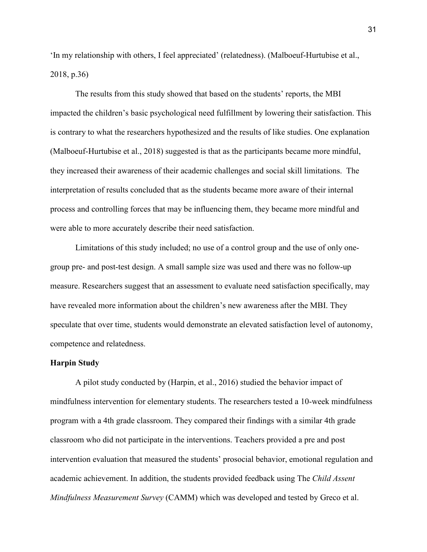'In my relationship with others, I feel appreciated' (relatedness). (Malboeuf-Hurtubise et al., 2018, p.36)

 The results from this study showed that based on the students' reports, the MBI impacted the children's basic psychological need fulfillment by lowering their satisfaction. This is contrary to what the researchers hypothesized and the results of like studies. One explanation (Malboeuf-Hurtubise et al., 2018) suggested is that as the participants became more mindful, they increased their awareness of their academic challenges and social skill limitations. The interpretation of results concluded that as the students became more aware of their internal process and controlling forces that may be influencing them, they became more mindful and were able to more accurately describe their need satisfaction.

 Limitations of this study included; no use of a control group and the use of only onegroup pre- and post-test design. A small sample size was used and there was no follow-up measure. Researchers suggest that an assessment to evaluate need satisfaction specifically, may have revealed more information about the children's new awareness after the MBI. They speculate that over time, students would demonstrate an elevated satisfaction level of autonomy, competence and relatedness.

#### **Harpin Study**

A pilot study conducted by (Harpin, et al., 2016) studied the behavior impact of mindfulness intervention for elementary students. The researchers tested a 10-week mindfulness program with a 4th grade classroom. They compared their findings with a similar 4th grade classroom who did not participate in the interventions. Teachers provided a pre and post intervention evaluation that measured the students' prosocial behavior, emotional regulation and academic achievement. In addition, the students provided feedback using The *Child Assent Mindfulness Measurement Survey* (CAMM) which was developed and tested by Greco et al.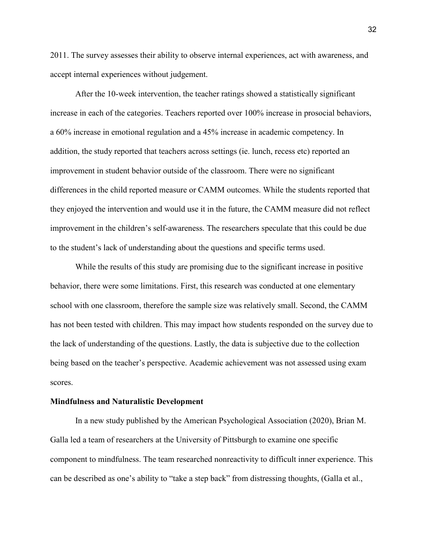2011. The survey assesses their ability to observe internal experiences, act with awareness, and accept internal experiences without judgement.

After the 10-week intervention, the teacher ratings showed a statistically significant increase in each of the categories. Teachers reported over 100% increase in prosocial behaviors, a 60% increase in emotional regulation and a 45% increase in academic competency. In addition, the study reported that teachers across settings (ie. lunch, recess etc) reported an improvement in student behavior outside of the classroom. There were no significant differences in the child reported measure or CAMM outcomes. While the students reported that they enjoyed the intervention and would use it in the future, the CAMM measure did not reflect improvement in the children's self-awareness. The researchers speculate that this could be due to the student's lack of understanding about the questions and specific terms used.

While the results of this study are promising due to the significant increase in positive behavior, there were some limitations. First, this research was conducted at one elementary school with one classroom, therefore the sample size was relatively small. Second, the CAMM has not been tested with children. This may impact how students responded on the survey due to the lack of understanding of the questions. Lastly, the data is subjective due to the collection being based on the teacher's perspective. Academic achievement was not assessed using exam scores.

#### **Mindfulness and Naturalistic Development**

In a new study published by the American Psychological Association (2020), Brian M. Galla led a team of researchers at the University of Pittsburgh to examine one specific component to mindfulness. The team researched nonreactivity to difficult inner experience. This can be described as one's ability to "take a step back" from distressing thoughts, (Galla et al.,

32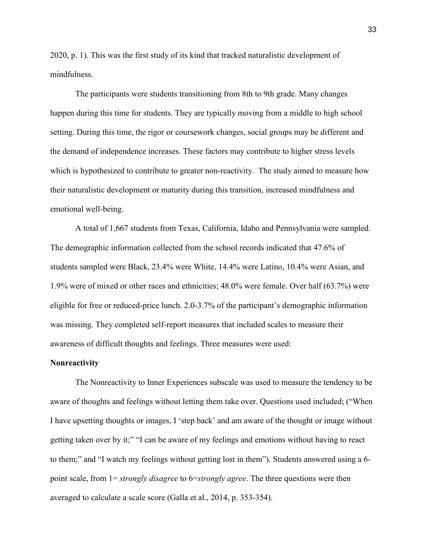2020, p. 1). This was the first study of its kind that tracked naturalistic development of mindfulness.

The participants were students transitioning from 8th to 9th grade. Many changes happen during this time for students. They are typically moving from a middle to high school setting. During this time, the rigor or coursework changes, social groups may be different and the demand of independence increases. These factors may contribute to higher stress levels which is hypothesized to contribute to greater non-reactivity. The study aimed to measure how their naturalistic development or maturity during this transition, increased mindfulness and emotional well-being.

A total of 1,667 students from Texas, California, Idaho and Pennsylvania were sampled. The demographic information collected from the school records indicated that 47.6% of students sampled were Black, 23.4% were White, 14.4% were Latino, 10.4% were Asian, and 1.9% were of mixed or other races and ethnicities; 48.0% were female. Over half (63.7%) were eligible for free or reduced-price lunch. 2.0-3.7% of the participant's demographic information was missing. They completed self-report measures that included scales to measure their awareness of difficult thoughts and feelings. Three measures were used:

#### **Nonreactivity**

The Nonreactivity to Inner Experiences subscale was used to measure the tendency to be aware of thoughts and feelings without letting them take over. Questions used included; ("When I have upsetting thoughts or images, I 'step back' and am aware of the thought or image without getting taken over by it;" "I can be aware of my feelings and emotions without having to react to them;" and "I watch my feelings without getting lost in them"). Students answered using a 6 point scale, from 1= *strongly disagree* to 6=*strongly agree*. The three questions were then averaged to calculate a scale score (Galla et al., 2014, p. 353-354).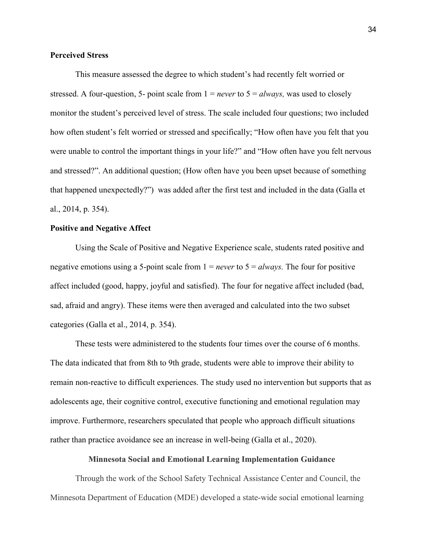## **Perceived Stress**

This measure assessed the degree to which student's had recently felt worried or stressed. A four-question, 5- point scale from  $1 = never$  to  $5 = always$ , was used to closely monitor the student's perceived level of stress. The scale included four questions; two included how often student's felt worried or stressed and specifically; "How often have you felt that you were unable to control the important things in your life?" and "How often have you felt nervous and stressed?". An additional question; (How often have you been upset because of something that happened unexpectedly?") was added after the first test and included in the data (Galla et al., 2014, p. 354).

## **Positive and Negative Affect**

Using the Scale of Positive and Negative Experience scale, students rated positive and negative emotions using a 5-point scale from 1 = *never* to 5 = *always.* The four for positive affect included (good, happy, joyful and satisfied). The four for negative affect included (bad, sad, afraid and angry). These items were then averaged and calculated into the two subset categories (Galla et al., 2014, p. 354).

These tests were administered to the students four times over the course of 6 months. The data indicated that from 8th to 9th grade, students were able to improve their ability to remain non-reactive to difficult experiences. The study used no intervention but supports that as adolescents age, their cognitive control, executive functioning and emotional regulation may improve. Furthermore, researchers speculated that people who approach difficult situations rather than practice avoidance see an increase in well-being (Galla et al., 2020).

## **Minnesota Social and Emotional Learning Implementation Guidance**

Through the work of the School Safety Technical Assistance Center and Council, the Minnesota Department of Education (MDE) developed a state-wide social emotional learning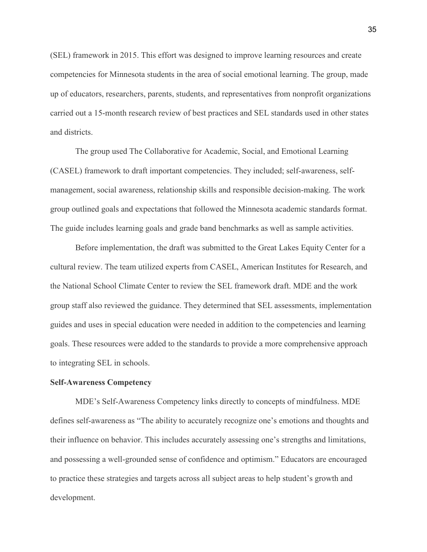(SEL) framework in 2015. This effort was designed to improve learning resources and create competencies for Minnesota students in the area of social emotional learning. The group, made up of educators, researchers, parents, students, and representatives from nonprofit organizations carried out a 15-month research review of best practices and SEL standards used in other states and districts.

The group used The Collaborative for Academic, Social, and Emotional Learning (CASEL) framework to draft important competencies. They included; self-awareness, selfmanagement, social awareness, relationship skills and responsible decision-making. The work group outlined goals and expectations that followed the Minnesota academic standards format. The guide includes learning goals and grade band benchmarks as well as sample activities.

Before implementation, the draft was submitted to the Great Lakes Equity Center for a cultural review. The team utilized experts from CASEL, American Institutes for Research, and the National School Climate Center to review the SEL framework draft. MDE and the work group staff also reviewed the guidance. They determined that SEL assessments, implementation guides and uses in special education were needed in addition to the competencies and learning goals. These resources were added to the standards to provide a more comprehensive approach to integrating SEL in schools.

#### **Self-Awareness Competency**

MDE's Self-Awareness Competency links directly to concepts of mindfulness. MDE defines self-awareness as "The ability to accurately recognize one's emotions and thoughts and their influence on behavior. This includes accurately assessing one's strengths and limitations, and possessing a well-grounded sense of confidence and optimism." Educators are encouraged to practice these strategies and targets across all subject areas to help student's growth and development.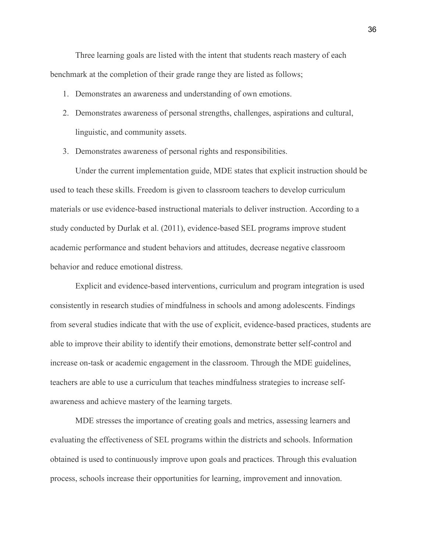Three learning goals are listed with the intent that students reach mastery of each benchmark at the completion of their grade range they are listed as follows;

- 1. Demonstrates an awareness and understanding of own emotions.
- 2. Demonstrates awareness of personal strengths, challenges, aspirations and cultural, linguistic, and community assets.
- 3. Demonstrates awareness of personal rights and responsibilities.

Under the current implementation guide, MDE states that explicit instruction should be used to teach these skills. Freedom is given to classroom teachers to develop curriculum materials or use evidence-based instructional materials to deliver instruction. According to a study conducted by Durlak et al. (2011), evidence-based SEL programs improve student academic performance and student behaviors and attitudes, decrease negative classroom behavior and reduce emotional distress.

Explicit and evidence-based interventions, curriculum and program integration is used consistently in research studies of mindfulness in schools and among adolescents. Findings from several studies indicate that with the use of explicit, evidence-based practices, students are able to improve their ability to identify their emotions, demonstrate better self-control and increase on-task or academic engagement in the classroom. Through the MDE guidelines, teachers are able to use a curriculum that teaches mindfulness strategies to increase selfawareness and achieve mastery of the learning targets.

MDE stresses the importance of creating goals and metrics, assessing learners and evaluating the effectiveness of SEL programs within the districts and schools. Information obtained is used to continuously improve upon goals and practices. Through this evaluation process, schools increase their opportunities for learning, improvement and innovation.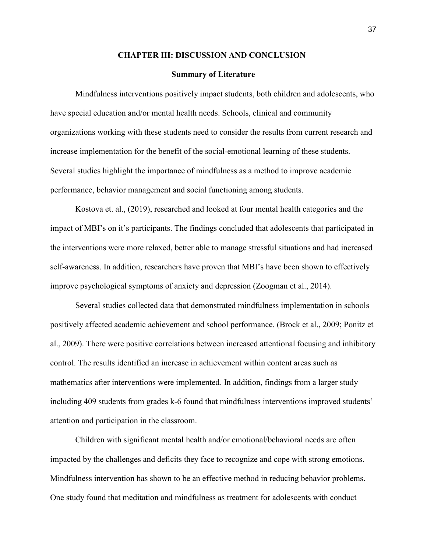#### **CHAPTER III: DISCUSSION AND CONCLUSION**

#### **Summary of Literature**

Mindfulness interventions positively impact students, both children and adolescents, who have special education and/or mental health needs. Schools, clinical and community organizations working with these students need to consider the results from current research and increase implementation for the benefit of the social-emotional learning of these students. Several studies highlight the importance of mindfulness as a method to improve academic performance, behavior management and social functioning among students.

 Kostova et. al., (2019), researched and looked at four mental health categories and the impact of MBI's on it's participants. The findings concluded that adolescents that participated in the interventions were more relaxed, better able to manage stressful situations and had increased self-awareness. In addition, researchers have proven that MBI's have been shown to effectively improve psychological symptoms of anxiety and depression (Zoogman et al., 2014).

 Several studies collected data that demonstrated mindfulness implementation in schools positively affected academic achievement and school performance. (Brock et al., 2009; Ponitz et al., 2009). There were positive correlations between increased attentional focusing and inhibitory control. The results identified an increase in achievement within content areas such as mathematics after interventions were implemented. In addition, findings from a larger study including 409 students from grades k-6 found that mindfulness interventions improved students' attention and participation in the classroom.

 Children with significant mental health and/or emotional/behavioral needs are often impacted by the challenges and deficits they face to recognize and cope with strong emotions. Mindfulness intervention has shown to be an effective method in reducing behavior problems. One study found that meditation and mindfulness as treatment for adolescents with conduct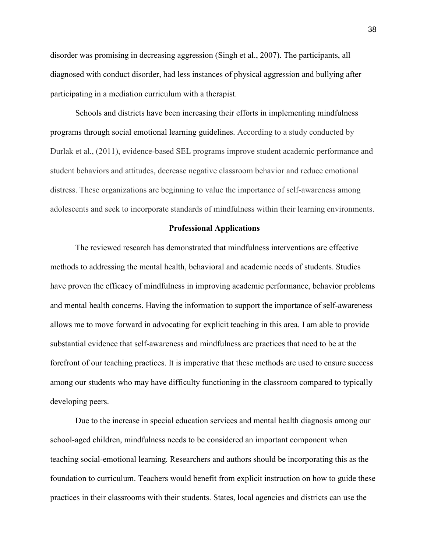disorder was promising in decreasing aggression (Singh et al., 2007). The participants, all diagnosed with conduct disorder, had less instances of physical aggression and bullying after participating in a mediation curriculum with a therapist.

 Schools and districts have been increasing their efforts in implementing mindfulness programs through social emotional learning guidelines. According to a study conducted by Durlak et al., (2011), evidence-based SEL programs improve student academic performance and student behaviors and attitudes, decrease negative classroom behavior and reduce emotional distress. These organizations are beginning to value the importance of self-awareness among adolescents and seek to incorporate standards of mindfulness within their learning environments.

#### **Professional Applications**

The reviewed research has demonstrated that mindfulness interventions are effective methods to addressing the mental health, behavioral and academic needs of students. Studies have proven the efficacy of mindfulness in improving academic performance, behavior problems and mental health concerns. Having the information to support the importance of self-awareness allows me to move forward in advocating for explicit teaching in this area. I am able to provide substantial evidence that self-awareness and mindfulness are practices that need to be at the forefront of our teaching practices. It is imperative that these methods are used to ensure success among our students who may have difficulty functioning in the classroom compared to typically developing peers.

Due to the increase in special education services and mental health diagnosis among our school-aged children, mindfulness needs to be considered an important component when teaching social-emotional learning. Researchers and authors should be incorporating this as the foundation to curriculum. Teachers would benefit from explicit instruction on how to guide these practices in their classrooms with their students. States, local agencies and districts can use the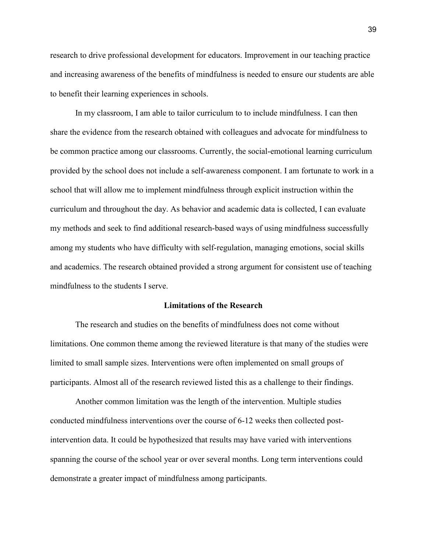research to drive professional development for educators. Improvement in our teaching practice and increasing awareness of the benefits of mindfulness is needed to ensure our students are able to benefit their learning experiences in schools.

In my classroom, I am able to tailor curriculum to to include mindfulness. I can then share the evidence from the research obtained with colleagues and advocate for mindfulness to be common practice among our classrooms. Currently, the social-emotional learning curriculum provided by the school does not include a self-awareness component. I am fortunate to work in a school that will allow me to implement mindfulness through explicit instruction within the curriculum and throughout the day. As behavior and academic data is collected, I can evaluate my methods and seek to find additional research-based ways of using mindfulness successfully among my students who have difficulty with self-regulation, managing emotions, social skills and academics. The research obtained provided a strong argument for consistent use of teaching mindfulness to the students I serve.

### **Limitations of the Research**

The research and studies on the benefits of mindfulness does not come without limitations. One common theme among the reviewed literature is that many of the studies were limited to small sample sizes. Interventions were often implemented on small groups of participants. Almost all of the research reviewed listed this as a challenge to their findings.

Another common limitation was the length of the intervention. Multiple studies conducted mindfulness interventions over the course of 6-12 weeks then collected postintervention data. It could be hypothesized that results may have varied with interventions spanning the course of the school year or over several months. Long term interventions could demonstrate a greater impact of mindfulness among participants.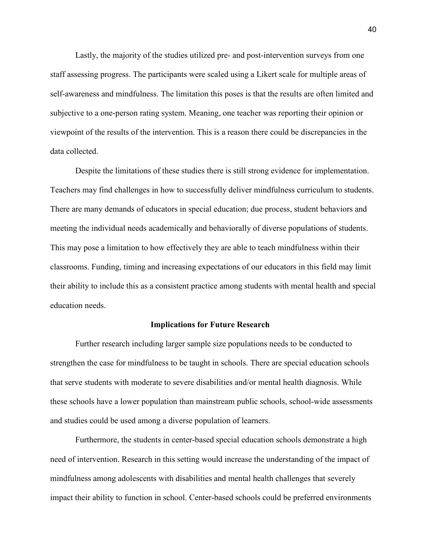Lastly, the majority of the studies utilized pre- and post-intervention surveys from one staff assessing progress. The participants were scaled using a Likert scale for multiple areas of self-awareness and mindfulness. The limitation this poses is that the results are often limited and subjective to a one-person rating system. Meaning, one teacher was reporting their opinion or viewpoint of the results of the intervention. This is a reason there could be discrepancies in the data collected.

Despite the limitations of these studies there is still strong evidence for implementation. Teachers may find challenges in how to successfully deliver mindfulness curriculum to students. There are many demands of educators in special education; due process, student behaviors and meeting the individual needs academically and behaviorally of diverse populations of students. This may pose a limitation to how effectively they are able to teach mindfulness within their classrooms. Funding, timing and increasing expectations of our educators in this field may limit their ability to include this as a consistent practice among students with mental health and special education needs.

#### **Implications for Future Research**

Further research including larger sample size populations needs to be conducted to strengthen the case for mindfulness to be taught in schools. There are special education schools that serve students with moderate to severe disabilities and/or mental health diagnosis. While these schools have a lower population than mainstream public schools, school-wide assessments and studies could be used among a diverse population of learners.

 Furthermore, the students in center-based special education schools demonstrate a high need of intervention. Research in this setting would increase the understanding of the impact of mindfulness among adolescents with disabilities and mental health challenges that severely impact their ability to function in school. Center-based schools could be preferred environments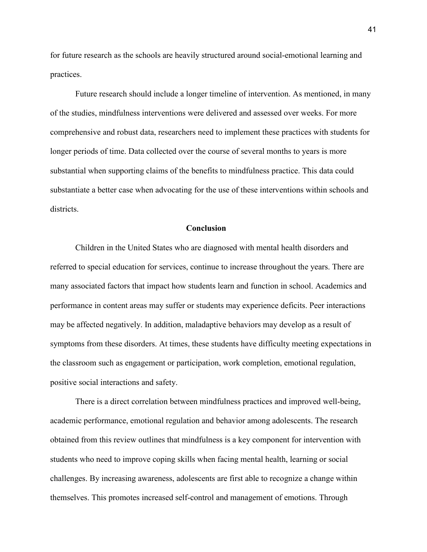for future research as the schools are heavily structured around social-emotional learning and practices.

 Future research should include a longer timeline of intervention. As mentioned, in many of the studies, mindfulness interventions were delivered and assessed over weeks. For more comprehensive and robust data, researchers need to implement these practices with students for longer periods of time. Data collected over the course of several months to years is more substantial when supporting claims of the benefits to mindfulness practice. This data could substantiate a better case when advocating for the use of these interventions within schools and districts.

## **Conclusion**

Children in the United States who are diagnosed with mental health disorders and referred to special education for services, continue to increase throughout the years. There are many associated factors that impact how students learn and function in school. Academics and performance in content areas may suffer or students may experience deficits. Peer interactions may be affected negatively. In addition, maladaptive behaviors may develop as a result of symptoms from these disorders. At times, these students have difficulty meeting expectations in the classroom such as engagement or participation, work completion, emotional regulation, positive social interactions and safety.

There is a direct correlation between mindfulness practices and improved well-being, academic performance, emotional regulation and behavior among adolescents. The research obtained from this review outlines that mindfulness is a key component for intervention with students who need to improve coping skills when facing mental health, learning or social challenges. By increasing awareness, adolescents are first able to recognize a change within themselves. This promotes increased self-control and management of emotions. Through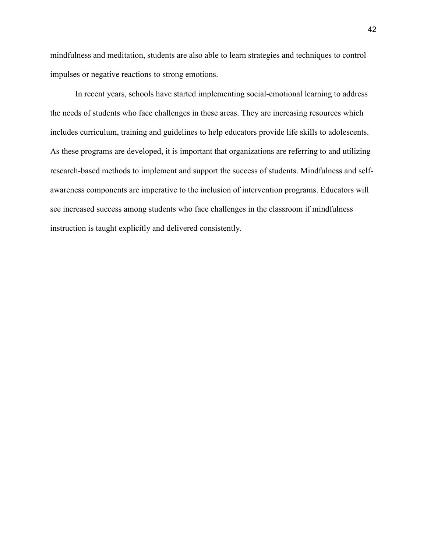mindfulness and meditation, students are also able to learn strategies and techniques to control impulses or negative reactions to strong emotions.

In recent years, schools have started implementing social-emotional learning to address the needs of students who face challenges in these areas. They are increasing resources which includes curriculum, training and guidelines to help educators provide life skills to adolescents. As these programs are developed, it is important that organizations are referring to and utilizing research-based methods to implement and support the success of students. Mindfulness and selfawareness components are imperative to the inclusion of intervention programs. Educators will see increased success among students who face challenges in the classroom if mindfulness instruction is taught explicitly and delivered consistently.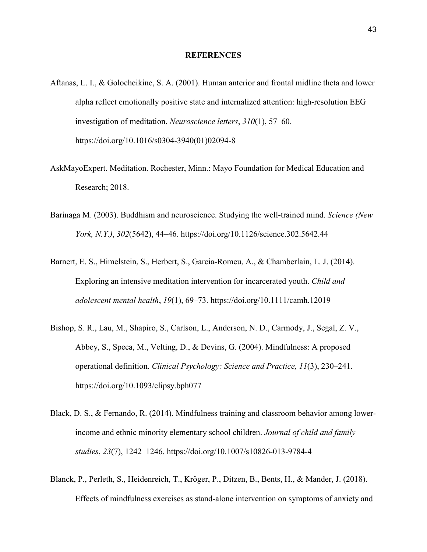#### **REFERENCES**

- Aftanas, L. I., & Golocheikine, S. A. (2001). Human anterior and frontal midline theta and lower alpha reflect emotionally positive state and internalized attention: high-resolution EEG investigation of meditation. *Neuroscience letters*, *310*(1), 57–60. https://doi.org/10.1016/s0304-3940(01)02094-8
- AskMayoExpert. Meditation. Rochester, Minn.: Mayo Foundation for Medical Education and Research; 2018.
- Barinaga M. (2003). Buddhism and neuroscience. Studying the well-trained mind. *Science (New York, N.Y.)*, *302*(5642), 44–46. https://doi.org/10.1126/science.302.5642.44
- Barnert, E. S., Himelstein, S., Herbert, S., Garcia-Romeu, A., & Chamberlain, L. J. (2014). Exploring an intensive meditation intervention for incarcerated youth. *Child and adolescent mental health*, *19*(1), 69–73. https://doi.org/10.1111/camh.12019
- Bishop, S. R., Lau, M., Shapiro, S., Carlson, L., Anderson, N. D., Carmody, J., Segal, Z. V., Abbey, S., Speca, M., Velting, D., & Devins, G. (2004). Mindfulness: A proposed operational definition. *Clinical Psychology: Science and Practice, 11*(3), 230–241. [https://doi.org/10.1093/clipsy.bph077](https://psycnet.apa.org/doi/10.1093/clipsy.bph077)
- Black, D. S., & Fernando, R. (2014). Mindfulness training and classroom behavior among lowerincome and ethnic minority elementary school children. *Journal of child and family studies*, *23*(7), 1242–1246. https://doi.org/10.1007/s10826-013-9784-4
- Blanck, P., Perleth, S., Heidenreich, T., Kröger, P., Ditzen, B., Bents, H., & Mander, J. (2018). Effects of mindfulness exercises as stand-alone intervention on symptoms of anxiety and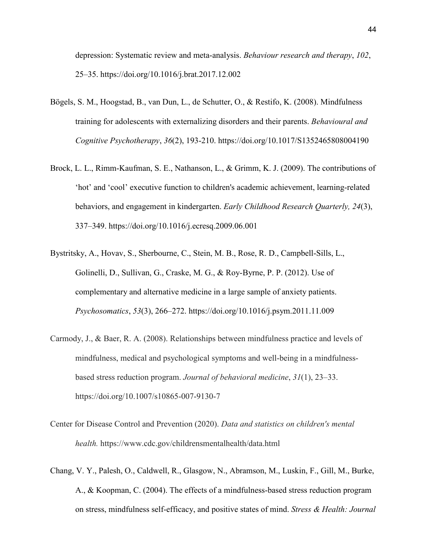depression: Systematic review and meta-analysis. *Behaviour research and therapy*, *102*, 25–35. https://doi.org/10.1016/j.brat.2017.12.002

- Bögels, S. M., Hoogstad, B., van Dun, L., de Schutter, O., & Restifo, K. (2008). Mindfulness training for adolescents with externalizing disorders and their parents. *Behavioural and Cognitive Psychotherapy*, *36*(2), 193-210. https://doi.org/10.1017/S1352465808004190
- Brock, L. L., Rimm-Kaufman, S. E., Nathanson, L., & Grimm, K. J. (2009). The contributions of 'hot' and 'cool' executive function to children's academic achievement, learning-related behaviors, and engagement in kindergarten. *Early Childhood Research Quarterly, 24*(3), 337–349. https://doi.org/10.1016/j.ecresq.2009.06.001
- Bystritsky, A., Hovav, S., Sherbourne, C., Stein, M. B., Rose, R. D., Campbell-Sills, L., Golinelli, D., Sullivan, G., Craske, M. G., & Roy-Byrne, P. P. (2012). Use of complementary and alternative medicine in a large sample of anxiety patients. *Psychosomatics*, *53*(3), 266–272. https://doi.org/10.1016/j.psym.2011.11.009
- Carmody, J., & Baer, R. A. (2008). Relationships between mindfulness practice and levels of mindfulness, medical and psychological symptoms and well-being in a mindfulnessbased stress reduction program. *Journal of behavioral medicine*, *31*(1), 23–33. https://doi.org/10.1007/s10865-007-9130-7
- Center for Disease Control and Prevention (2020). *Data and statistics on children's mental health.* https://www.cdc.gov/childrensmentalhealth/data.html
- Chang, V. Y., Palesh, O., Caldwell, R., Glasgow, N., Abramson, M., Luskin, F., Gill, M., Burke, A., & Koopman, C. (2004). The effects of a mindfulness-based stress reduction program on stress, mindfulness self-efficacy, and positive states of mind. *Stress & Health: Journal*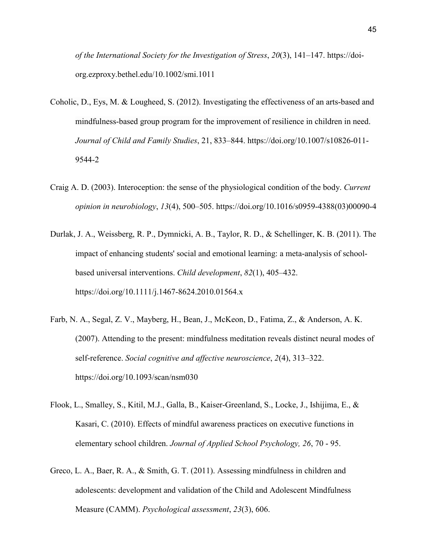*of the International Society for the Investigation of Stress*, *20*(3), 141–147. https://doiorg.ezproxy.bethel.edu/10.1002/smi.1011

- Coholic, D., Eys, M. & Lougheed, S. (2012). Investigating the effectiveness of an arts-based and mindfulness-based group program for the improvement of resilience in children in need. *Journal of Child and Family Studies*, 21, 833–844. https://doi.org/10.1007/s10826-011- 9544-2
- Craig A. D. (2003). Interoception: the sense of the physiological condition of the body. *Current opinion in neurobiology*, *13*(4), 500–505. https://doi.org/10.1016/s0959-4388(03)00090-4
- Durlak, J. A., Weissberg, R. P., Dymnicki, A. B., Taylor, R. D., & Schellinger, K. B. (2011). The impact of enhancing students' social and emotional learning: a meta-analysis of schoolbased universal interventions. *Child development*, *82*(1), 405–432. https://doi.org/10.1111/j.1467-8624.2010.01564.x
- Farb, N. A., Segal, Z. V., Mayberg, H., Bean, J., McKeon, D., Fatima, Z., & Anderson, A. K. (2007). Attending to the present: mindfulness meditation reveals distinct neural modes of self-reference. *Social cognitive and affective neuroscience*, *2*(4), 313–322. https://doi.org/10.1093/scan/nsm030
- Flook, L., Smalley, S., Kitil, M.J., Galla, B., Kaiser-Greenland, S., Locke, J., Ishijima, E., & Kasari, C. (2010). Effects of mindful awareness practices on executive functions in elementary school children. *Journal of Applied School Psychology, 26*, 70 - 95.
- Greco, L. A., Baer, R. A., & Smith, G. T. (2011). Assessing mindfulness in children and adolescents: development and validation of the Child and Adolescent Mindfulness Measure (CAMM). *Psychological assessment*, *23*(3), 606.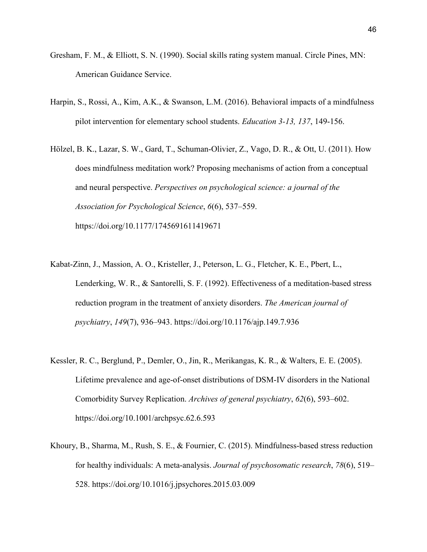- Gresham, F. M., & Elliott, S. N. (1990). Social skills rating system manual. Circle Pines, MN: American Guidance Service.
- Harpin, S., Rossi, A., Kim, A.K., & Swanson, L.M. (2016). Behavioral impacts of a mindfulness pilot intervention for elementary school students. *Education 3-13, 137*, 149-156.
- Hölzel, B. K., Lazar, S. W., Gard, T., Schuman-Olivier, Z., Vago, D. R., & Ott, U. (2011). How does mindfulness meditation work? Proposing mechanisms of action from a conceptual and neural perspective. *Perspectives on psychological science: a journal of the Association for Psychological Science*, *6*(6), 537–559. https://doi.org/10.1177/1745691611419671
- Kabat-Zinn, J., Massion, A. O., Kristeller, J., Peterson, L. G., Fletcher, K. E., Pbert, L., Lenderking, W. R., & Santorelli, S. F. (1992). Effectiveness of a meditation-based stress reduction program in the treatment of anxiety disorders. *The American journal of psychiatry*, *149*(7), 936–943. https://doi.org/10.1176/ajp.149.7.936
- Kessler, R. C., Berglund, P., Demler, O., Jin, R., Merikangas, K. R., & Walters, E. E. (2005). Lifetime prevalence and age-of-onset distributions of DSM-IV disorders in the National Comorbidity Survey Replication. *Archives of general psychiatry*, *62*(6), 593–602. https://doi.org/10.1001/archpsyc.62.6.593
- Khoury, B., Sharma, M., Rush, S. E., & Fournier, C. (2015). Mindfulness-based stress reduction for healthy individuals: A meta-analysis. *Journal of psychosomatic research*, *78*(6), 519– 528. https://doi.org/10.1016/j.jpsychores.2015.03.009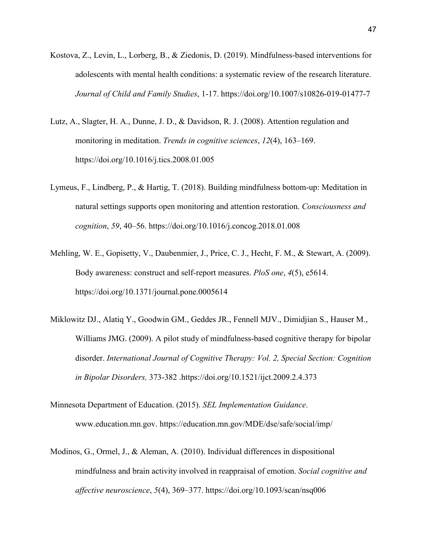- Kostova, Z., Levin, L., Lorberg, B., & Ziedonis, D. (2019). Mindfulness-based interventions for adolescents with mental health conditions: a systematic review of the research literature. *Journal of Child and Family Studies*, 1-17. https://doi.org/10.1007/s10826-019-01477-7
- Lutz, A., Slagter, H. A., Dunne, J. D., & Davidson, R. J. (2008). Attention regulation and monitoring in meditation. *Trends in cognitive sciences*, *12*(4), 163–169. https://doi.org/10.1016/j.tics.2008.01.005
- Lymeus, F., Lindberg, P., & Hartig, T. (2018). Building mindfulness bottom-up: Meditation in natural settings supports open monitoring and attention restoration. *Consciousness and cognition*, *59*, 40–56. https://doi.org/10.1016/j.concog.2018.01.008
- Mehling, W. E., Gopisetty, V., Daubenmier, J., Price, C. J., Hecht, F. M., & Stewart, A. (2009). Body awareness: construct and self-report measures. *PloS one*, *4*(5), e5614. https://doi.org/10.1371/journal.pone.0005614
- Miklowitz DJ., Alatiq Y., Goodwin GM., Geddes JR., Fennell MJV., Dimidjian S., Hauser M., Williams JMG. (2009). A pilot study of mindfulness-based cognitive therapy for bipolar disorder. *International Journal of Cognitive Therapy: Vol. 2, Special Section: Cognition in Bipolar Disorders,* 373-382 .https://doi.org/10.1521/ijct.2009.2.4.373
- Minnesota Department of Education. (2015). *SEL Implementation Guidance*. www.education.mn.gov. https://education.mn.gov/MDE/dse/safe/social/imp/
- Modinos, G., Ormel, J., & Aleman, A. (2010). Individual differences in dispositional mindfulness and brain activity involved in reappraisal of emotion. *Social cognitive and affective neuroscience*, *5*(4), 369–377. https://doi.org/10.1093/scan/nsq006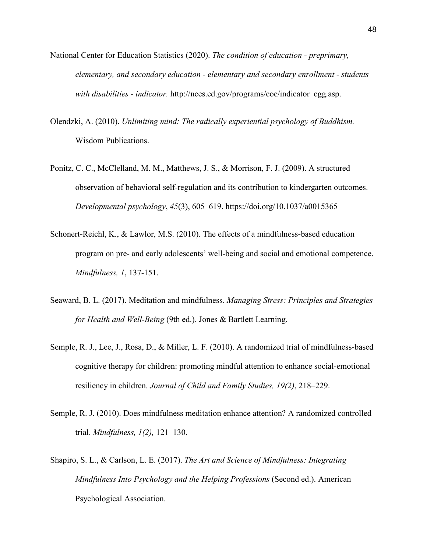- National Center for Education Statistics (2020). *The condition of education preprimary, elementary, and secondary education - elementary and secondary enrollment - students with disabilities - indicator.* http://nces.ed.gov/programs/coe/indicator\_cgg.asp.
- Olendzki, A. (2010). *Unlimiting mind: The radically experiential psychology of Buddhism.* Wisdom Publications.
- Ponitz, C. C., McClelland, M. M., Matthews, J. S., & Morrison, F. J. (2009). A structured observation of behavioral self-regulation and its contribution to kindergarten outcomes. *Developmental psychology*, *45*(3), 605–619. https://doi.org/10.1037/a0015365
- Schonert-Reichl, K., & Lawlor, M.S. (2010). The effects of a mindfulness-based education program on pre- and early adolescents' well-being and social and emotional competence. *Mindfulness, 1*, 137-151.
- Seaward, B. L. (2017). Meditation and mindfulness. *Managing Stress: Principles and Strategies for Health and Well-Being* (9th ed.). Jones & Bartlett Learning.
- Semple, R. J., Lee, J., Rosa, D., & Miller, L. F. (2010). A randomized trial of mindfulness-based cognitive therapy for children: promoting mindful attention to enhance social-emotional resiliency in children. *Journal of Child and Family Studies, 19(2)*, 218–229.
- Semple, R. J. (2010). Does mindfulness meditation enhance attention? A randomized controlled trial. *Mindfulness, 1(2),* 121–130.
- Shapiro, S. L., & Carlson, L. E. (2017). *The Art and Science of Mindfulness: Integrating Mindfulness Into Psychology and the Helping Professions* (Second ed.). American Psychological Association.